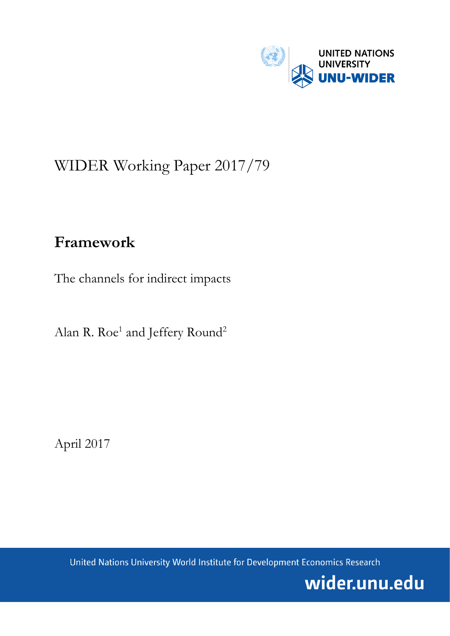

# WIDER Working Paper 2017/79

## **Framework**

The channels for indirect impacts

Alan R. Roe<sup>1</sup> and Jeffery Round<sup>2</sup>

April 2017

United Nations University World Institute for Development Economics Research

wider.unu.edu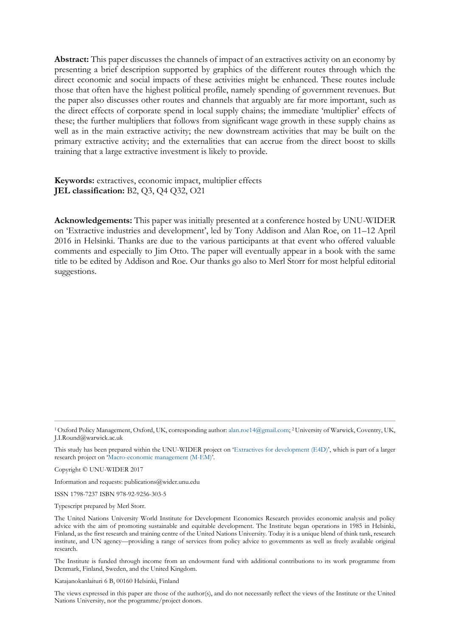**Abstract:** This paper discusses the channels of impact of an extractives activity on an economy by presenting a brief description supported by graphics of the different routes through which the direct economic and social impacts of these activities might be enhanced. These routes include those that often have the highest political profile, namely spending of government revenues. But the paper also discusses other routes and channels that arguably are far more important, such as the direct effects of corporate spend in local supply chains; the immediate 'multiplier' effects of these; the further multipliers that follows from significant wage growth in these supply chains as well as in the main extractive activity; the new downstream activities that may be built on the primary extractive activity; and the externalities that can accrue from the direct boost to skills training that a large extractive investment is likely to provide.

**Keywords:** extractives, economic impact, multiplier effects **JEL classification:** B2, Q3, Q4 Q32, O21

**Acknowledgements:** This paper was initially presented at a conference hosted by UNU-WIDER on 'Extractive industries and development', led by Tony Addison and Alan Roe, on 11–12 April 2016 in Helsinki. Thanks are due to the various participants at that event who offered valuable comments and especially to Jim Otto. The paper will eventually appear in a book with the same title to be edited by Addison and Roe. Our thanks go also to Merl Storr for most helpful editorial suggestions.

Copyright © UNU-WIDER 2017

Information and requests: publications@wider.unu.edu

ISSN 1798-7237 ISBN 978-92-9256-303-5

Typescript prepared by Merl Storr.

The Institute is funded through income from an endowment fund with additional contributions to its work programme from Denmark, Finland, Sweden, and the United Kingdom.

Katajanokanlaituri 6 B, 00160 Helsinki, Finland

The views expressed in this paper are those of the author(s), and do not necessarily reflect the views of the Institute or the United Nations University, nor the programme/project donors.

<sup>1</sup>Oxford Policy Management, Oxford, UK, corresponding author[: alan.roe14@gmail.com;](mailto:alan.roe14@gmail.com) <sup>2</sup>University of Warwick, Coventry, UK, J.I.Round@warwick.ac.uk

This study has been prepared within the UNU-WIDER project on '[Extractives for development \(E4D\)](https://www.wider.unu.edu/node/474)', which is part of a larger research project on '[Macro-economic management \(M-EM\)](https://www.wider.unu.edu/node/377)'.

The United Nations University World Institute for Development Economics Research provides economic analysis and policy advice with the aim of promoting sustainable and equitable development. The Institute began operations in 1985 in Helsinki, Finland, as the first research and training centre of the United Nations University. Today it is a unique blend of think tank, research institute, and UN agency—providing a range of services from policy advice to governments as well as freely available original research.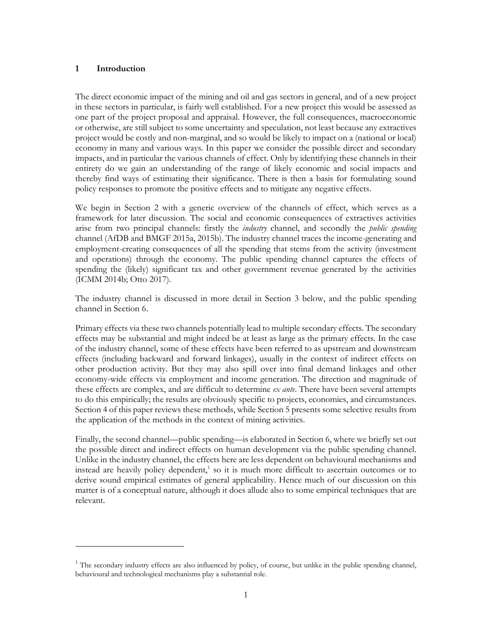## **1 Introduction**

-

The direct economic impact of the mining and oil and gas sectors in general, and of a new project in these sectors in particular, is fairly well established. For a new project this would be assessed as one part of the project proposal and appraisal. However, the full consequences, macroeconomic or otherwise, are still subject to some uncertainty and speculation, not least because any extractives project would be costly and non-marginal, and so would be likely to impact on a (national or local) economy in many and various ways. In this paper we consider the possible direct and secondary impacts, and in particular the various channels of effect. Only by identifying these channels in their entirety do we gain an understanding of the range of likely economic and social impacts and thereby find ways of estimating their significance. There is then a basis for formulating sound policy responses to promote the positive effects and to mitigate any negative effects.

We begin in Section 2 with a generic overview of the channels of effect, which serves as a framework for later discussion. The social and economic consequences of extractives activities arise from two principal channels: firstly the *industry* channel, and secondly the *public spending* channel (AfDB and BMGF 2015a, 2015b). The industry channel traces the income-generating and employment-creating consequences of all the spending that stems from the activity (investment and operations) through the economy. The public spending channel captures the effects of spending the (likely) significant tax and other government revenue generated by the activities (ICMM 2014b; Otto 2017).

The industry channel is discussed in more detail in Section 3 below, and the public spending channel in Section 6.

Primary effects via these two channels potentially lead to multiple secondary effects. The secondary effects may be substantial and might indeed be at least as large as the primary effects. In the case of the industry channel, some of these effects have been referred to as upstream and downstream effects (including backward and forward linkages), usually in the context of indirect effects on other production activity. But they may also spill over into final demand linkages and other economy-wide effects via employment and income generation. The direction and magnitude of these effects are complex, and are difficult to determine *ex ante*. There have been several attempts to do this empirically; the results are obviously specific to projects, economies, and circumstances. Section 4 of this paper reviews these methods, while Section 5 presents some selective results from the application of the methods in the context of mining activities.

Finally, the second channel—public spending—is elaborated in Section 6, where we briefly set out the possible direct and indirect effects on human development via the public spending channel. Unlike in the industry channel, the effects here are less dependent on behavioural mechanisms and instead are heavily policy dependent,<sup>1</sup> so it is much more difficult to ascertain outcomes or to derive sound empirical estimates of general applicability. Hence much of our discussion on this matter is of a conceptual nature, although it does allude also to some empirical techniques that are relevant.

 $1$ <sup>1</sup> The secondary industry effects are also influenced by policy, of course, but unlike in the public spending channel, behavioural and technological mechanisms play a substantial role.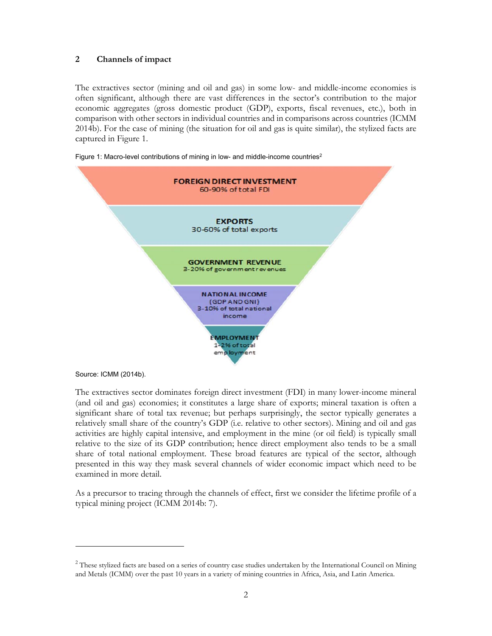### **2 Channels of impact**

The extractives sector (mining and oil and gas) in some low- and middle-income economies is often significant, although there are vast differences in the sector's contribution to the major economic aggregates (gross domestic product (GDP), exports, fiscal revenues, etc.), both in comparison with other sectors in individual countries and in comparisons across countries (ICMM 2014b). For the case of mining (the situation for oil and gas is quite similar), the stylized facts are captured in Figure 1.



Figure 1: Macro-level contributions of mining in low- and middle-income countries<sup>2</sup>

Source: ICMM (2014b).

 $\ddot{\phantom{a}}$ 

The extractives sector dominates foreign direct investment (FDI) in many lower-income mineral (and oil and gas) economies; it constitutes a large share of exports; mineral taxation is often a significant share of total tax revenue; but perhaps surprisingly, the sector typically generates a relatively small share of the country's GDP (i.e. relative to other sectors). Mining and oil and gas activities are highly capital intensive, and employment in the mine (or oil field) is typically small relative to the size of its GDP contribution; hence direct employment also tends to be a small share of total national employment. These broad features are typical of the sector, although presented in this way they mask several channels of wider economic impact which need to be examined in more detail.

As a precursor to tracing through the channels of effect, first we consider the lifetime profile of a typical mining project (ICMM 2014b: 7).

<sup>&</sup>lt;sup>2</sup> These stylized facts are based on a series of country case studies undertaken by the International Council on Mining and Metals (ICMM) over the past 10 years in a variety of mining countries in Africa, Asia, and Latin America.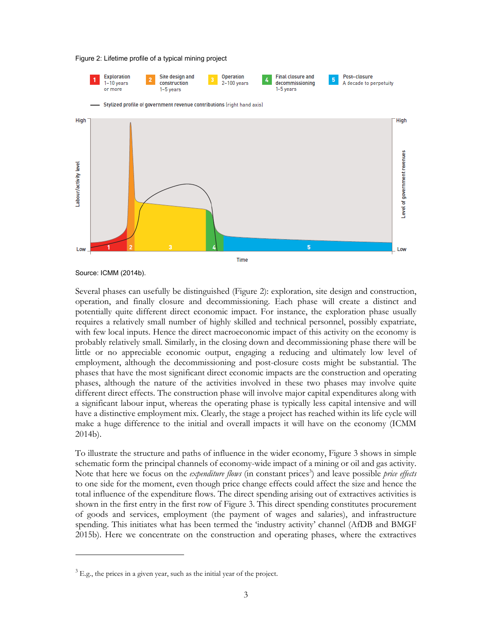#### Figure 2: Lifetime profile of a typical mining project



Source: ICMM (2014b).

-

Several phases can usefully be distinguished (Figure 2): exploration, site design and construction, operation, and finally closure and decommissioning. Each phase will create a distinct and potentially quite different direct economic impact. For instance, the exploration phase usually requires a relatively small number of highly skilled and technical personnel, possibly expatriate, with few local inputs. Hence the direct macroeconomic impact of this activity on the economy is probably relatively small. Similarly, in the closing down and decommissioning phase there will be little or no appreciable economic output, engaging a reducing and ultimately low level of employment, although the decommissioning and post-closure costs might be substantial. The phases that have the most significant direct economic impacts are the construction and operating phases, although the nature of the activities involved in these two phases may involve quite different direct effects. The construction phase will involve major capital expenditures along with a significant labour input, whereas the operating phase is typically less capital intensive and will have a distinctive employment mix. Clearly, the stage a project has reached within its life cycle will make a huge difference to the initial and overall impacts it will have on the economy (ICMM 2014b).

To illustrate the structure and paths of influence in the wider economy, Figure 3 shows in simple schematic form the principal channels of economy-wide impact of a mining or oil and gas activity. Note that here we focus on the *expenditure flows* (in constant prices<sup>3</sup>) and leave possible *price effects* to one side for the moment, even though price change effects could affect the size and hence the total influence of the expenditure flows. The direct spending arising out of extractives activities is shown in the first entry in the first row of Figure 3. This direct spending constitutes procurement of goods and services, employment (the payment of wages and salaries), and infrastructure spending. This initiates what has been termed the 'industry activity' channel (AfDB and BMGF 2015b). Here we concentrate on the construction and operating phases, where the extractives

 $3 E.g.,$  the prices in a given year, such as the initial year of the project.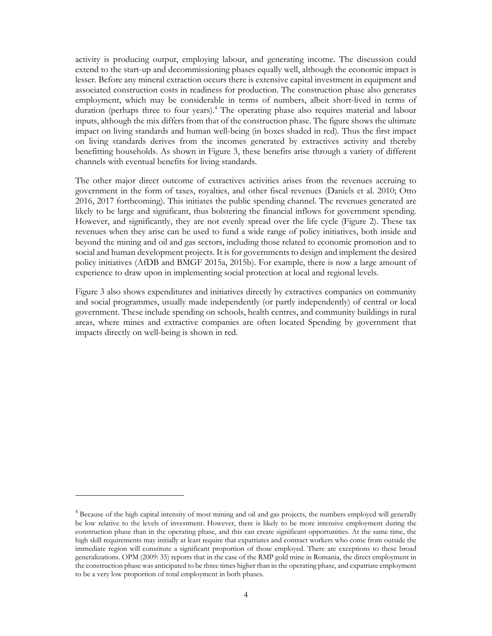activity is producing output, employing labour, and generating income. The discussion could extend to the start-up and decommissioning phases equally well, although the economic impact is lesser. Before any mineral extraction occurs there is extensive capital investment in equipment and associated construction costs in readiness for production. The construction phase also generates employment, which may be considerable in terms of numbers, albeit short-lived in terms of duration (perhaps three to four years).<sup>4</sup> The operating phase also requires material and labour inputs, although the mix differs from that of the construction phase. The figure shows the ultimate impact on living standards and human well-being (in boxes shaded in red). Thus the first impact on living standards derives from the incomes generated by extractives activity and thereby benefitting households. As shown in Figure 3, these benefits arise through a variety of different channels with eventual benefits for living standards.

The other major direct outcome of extractives activities arises from the revenues accruing to government in the form of taxes, royalties, and other fiscal revenues (Daniels et al. 2010; Otto 2016, 2017 forthcoming). This initiates the public spending channel. The revenues generated are likely to be large and significant, thus bolstering the financial inflows for government spending. However, and significantly, they are not evenly spread over the life cycle (Figure 2). These tax revenues when they arise can be used to fund a wide range of policy initiatives, both inside and beyond the mining and oil and gas sectors, including those related to economic promotion and to social and human development projects. It is for governments to design and implement the desired policy initiatives (AfDB and BMGF 2015a, 2015b). For example, there is now a large amount of experience to draw upon in implementing social protection at local and regional levels.

Figure 3 also shows expenditures and initiatives directly by extractives companies on community and social programmes, usually made independently (or partly independently) of central or local government. These include spending on schools, health centres, and community buildings in rural areas, where mines and extractive companies are often located Spending by government that impacts directly on well-being is shown in red.

-

<sup>&</sup>lt;sup>4</sup> Because of the high capital intensity of most mining and oil and gas projects, the numbers employed will generally be low relative to the levels of investment. However, there is likely to be more intensive employment during the construction phase than in the operating phase, and this can create significant opportunities. At the same time, the high skill requirements may initially at least require that expatriates and contract workers who come from outside the immediate region will constitute a significant proportion of those employed. There are exceptions to these broad generalizations. OPM (2009: 35) reports that in the case of the RMP gold mine in Romania, the direct employment in the construction phase was anticipated to be three times higher than in the operating phase, and expatriate employment to be a very low proportion of total employment in both phases.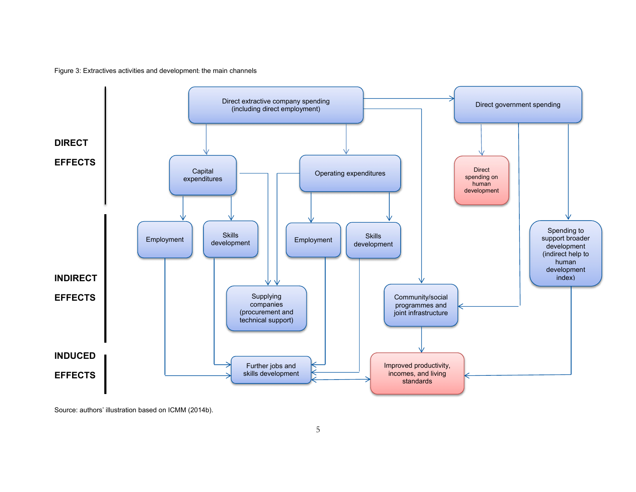Figure 3: Extractives activities and development: the main channels



Source: authors' illustration based on ICMM (2014b).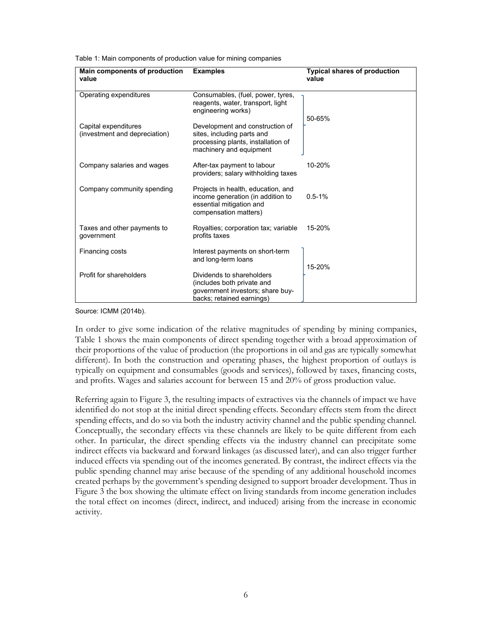Table 1: Main components of production value for mining companies

| Main components of production<br>value                | <b>Examples</b>                                                                                                                | <b>Typical shares of production</b><br>value |
|-------------------------------------------------------|--------------------------------------------------------------------------------------------------------------------------------|----------------------------------------------|
| Operating expenditures                                | Consumables, (fuel, power, tyres,<br>reagents, water, transport, light<br>engineering works)                                   | 50-65%                                       |
| Capital expenditures<br>(investment and depreciation) | Development and construction of<br>sites, including parts and<br>processing plants, installation of<br>machinery and equipment |                                              |
| Company salaries and wages                            | After-tax payment to labour<br>providers; salary withholding taxes                                                             | 10-20%                                       |
| Company community spending                            | Projects in health, education, and<br>income generation (in addition to<br>essential mitigation and<br>compensation matters)   | $0.5 - 1%$                                   |
| Taxes and other payments to<br>government             | Royalties; corporation tax; variable<br>profits taxes                                                                          | 15-20%                                       |
| Financing costs                                       | Interest payments on short-term<br>and long-term loans                                                                         | 15-20%                                       |
| Profit for shareholders                               | Dividends to shareholders<br>(includes both private and<br>government investors; share buy-<br>backs; retained earnings)       |                                              |

Source: ICMM (2014b).

In order to give some indication of the relative magnitudes of spending by mining companies, Table 1 shows the main components of direct spending together with a broad approximation of their proportions of the value of production (the proportions in oil and gas are typically somewhat different). In both the construction and operating phases, the highest proportion of outlays is typically on equipment and consumables (goods and services), followed by taxes, financing costs, and profits. Wages and salaries account for between 15 and 20% of gross production value.

Referring again to Figure 3, the resulting impacts of extractives via the channels of impact we have identified do not stop at the initial direct spending effects. Secondary effects stem from the direct spending effects, and do so via both the industry activity channel and the public spending channel. Conceptually, the secondary effects via these channels are likely to be quite different from each other. In particular, the direct spending effects via the industry channel can precipitate some indirect effects via backward and forward linkages (as discussed later), and can also trigger further induced effects via spending out of the incomes generated. By contrast, the indirect effects via the public spending channel may arise because of the spending of any additional household incomes created perhaps by the government's spending designed to support broader development. Thus in Figure 3 the box showing the ultimate effect on living standards from income generation includes the total effect on incomes (direct, indirect, and induced) arising from the increase in economic activity.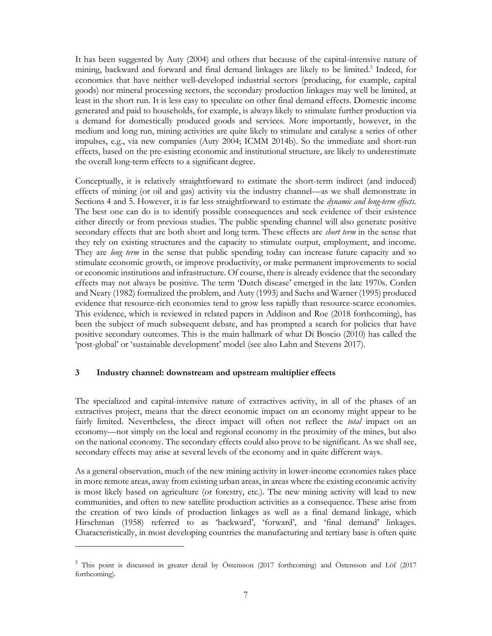It has been suggested by Auty (2004) and others that because of the capital-intensive nature of mining, backward and forward and final demand linkages are likely to be limited.<sup>5</sup> Indeed, for economies that have neither well-developed industrial sectors (producing, for example, capital goods) nor mineral processing sectors, the secondary production linkages may well be limited, at least in the short run. It is less easy to speculate on other final demand effects. Domestic income generated and paid to households, for example, is always likely to stimulate further production via a demand for domestically produced goods and services. More importantly, however, in the medium and long run, mining activities are quite likely to stimulate and catalyse a series of other impulses, e.g., via new companies (Auty 2004; ICMM 2014b). So the immediate and short-run effects, based on the pre-existing economic and institutional structure, are likely to underestimate the overall long-term effects to a significant degree.

Conceptually, it is relatively straightforward to estimate the short-term indirect (and induced) effects of mining (or oil and gas) activity via the industry channel—as we shall demonstrate in Sections 4 and 5. However, it is far less straightforward to estimate the *dynamic and long-term effects.*  The best one can do is to identify possible consequences and seek evidence of their existence either directly or from previous studies. The public spending channel will also generate positive secondary effects that are both short and long term. These effects are *short term* in the sense that they rely on existing structures and the capacity to stimulate output, employment, and income. They are *long term* in the sense that public spending today can increase future capacity and so stimulate economic growth, or improve productivity, or make permanent improvements to social or economic institutions and infrastructure. Of course, there is already evidence that the secondary effects may not always be positive. The term 'Dutch disease' emerged in the late 1970s. Corden and Neary (1982) formalized the problem, and Auty (1993) and Sachs and Warner (1995) produced evidence that resource-rich economies tend to grow less rapidly than resource-scarce economies. This evidence, which is reviewed in related papers in Addison and Roe (2018 forthcoming), has been the subject of much subsequent debate, and has prompted a search for policies that have positive secondary outcomes. This is the main hallmark of what Di Boscio (2010) has called the 'post-global' or 'sustainable development' model (see also Lahn and Stevens 2017).

#### **3 Industry channel: downstream and upstream multiplier effects**

 $\overline{a}$ 

The specialized and capital-intensive nature of extractives activity, in all of the phases of an extractives project, means that the direct economic impact on an economy might appear to be fairly limited. Nevertheless, the direct impact will often not reflect the *total* impact on an economy—not simply on the local and regional economy in the proximity of the mines, but also on the national economy. The secondary effects could also prove to be significant. As we shall see, secondary effects may arise at several levels of the economy and in quite different ways.

As a general observation, much of the new mining activity in lower-income economies takes place in more remote areas, away from existing urban areas, in areas where the existing economic activity is most likely based on agriculture (or forestry, etc.). The new mining activity will lead to new communities, and often to new satellite production activities as a consequence. These arise from the creation of two kinds of production linkages as well as a final demand linkage, which Hirschman (1958) referred to as 'backward', 'forward', and 'final demand' linkages. Characteristically, in most developing countries the manufacturing and tertiary base is often quite

<sup>&</sup>lt;sup>5</sup> This point is discussed in greater detail by Östensson (2017 forthcoming) and Östensson and Löf (2017 forthcoming).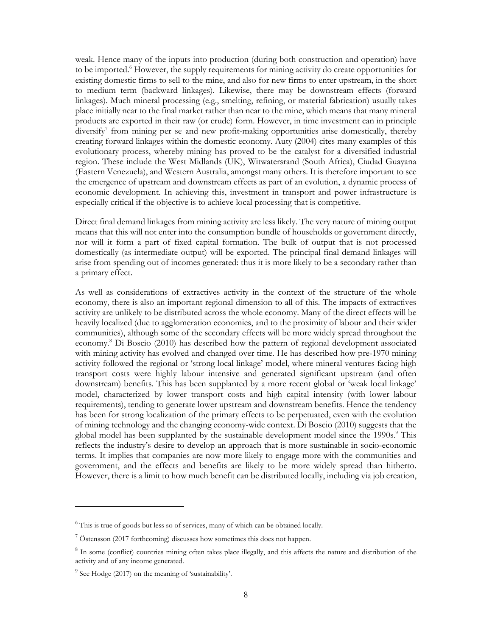weak. Hence many of the inputs into production (during both construction and operation) have to be imported.<sup>6</sup> However, the supply requirements for mining activity do create opportunities for existing domestic firms to sell to the mine, and also for new firms to enter upstream, in the short to medium term (backward linkages). Likewise, there may be downstream effects (forward linkages). Much mineral processing (e.g., smelting, refining, or material fabrication) usually takes place initially near to the final market rather than near to the mine, which means that many mineral products are exported in their raw (or crude) form. However, in time investment can in principle diversify<sup>7</sup> from mining per se and new profit-making opportunities arise domestically, thereby creating forward linkages within the domestic economy. Auty (2004) cites many examples of this evolutionary process, whereby mining has proved to be the catalyst for a diversified industrial region. These include the West Midlands (UK), Witwatersrand (South Africa), Ciudad Guayana (Eastern Venezuela), and Western Australia, amongst many others. It is therefore important to see the emergence of upstream and downstream effects as part of an evolution, a dynamic process of economic development. In achieving this, investment in transport and power infrastructure is especially critical if the objective is to achieve local processing that is competitive.

Direct final demand linkages from mining activity are less likely. The very nature of mining output means that this will not enter into the consumption bundle of households or government directly, nor will it form a part of fixed capital formation. The bulk of output that is not processed domestically (as intermediate output) will be exported. The principal final demand linkages will arise from spending out of incomes generated: thus it is more likely to be a secondary rather than a primary effect.

As well as considerations of extractives activity in the context of the structure of the whole economy, there is also an important regional dimension to all of this. The impacts of extractives activity are unlikely to be distributed across the whole economy. Many of the direct effects will be heavily localized (due to agglomeration economies, and to the proximity of labour and their wider communities), although some of the secondary effects will be more widely spread throughout the economy.<sup>8</sup> Di Boscio (2010) has described how the pattern of regional development associated with mining activity has evolved and changed over time. He has described how pre-1970 mining activity followed the regional or 'strong local linkage' model, where mineral ventures facing high transport costs were highly labour intensive and generated significant upstream (and often downstream) benefits. This has been supplanted by a more recent global or 'weak local linkage' model, characterized by lower transport costs and high capital intensity (with lower labour requirements), tending to generate lower upstream and downstream benefits. Hence the tendency has been for strong localization of the primary effects to be perpetuated, even with the evolution of mining technology and the changing economy-wide context. Di Boscio (2010) suggests that the global model has been supplanted by the sustainable development model since the 1990s.<sup>9</sup> This reflects the industry's desire to develop an approach that is more sustainable in socio-economic terms. It implies that companies are now more likely to engage more with the communities and government, and the effects and benefits are likely to be more widely spread than hitherto. However, there is a limit to how much benefit can be distributed locally, including via job creation,

 $\overline{a}$ 

<sup>&</sup>lt;sup>6</sup> This is true of goods but less so of services, many of which can be obtained locally.

 $7$  Östensson (2017 forthcoming) discusses how sometimes this does not happen.

<sup>&</sup>lt;sup>8</sup> In some (conflict) countries mining often takes place illegally, and this affects the nature and distribution of the activity and of any income generated.

 $9^9$  See Hodge (2017) on the meaning of 'sustainability'.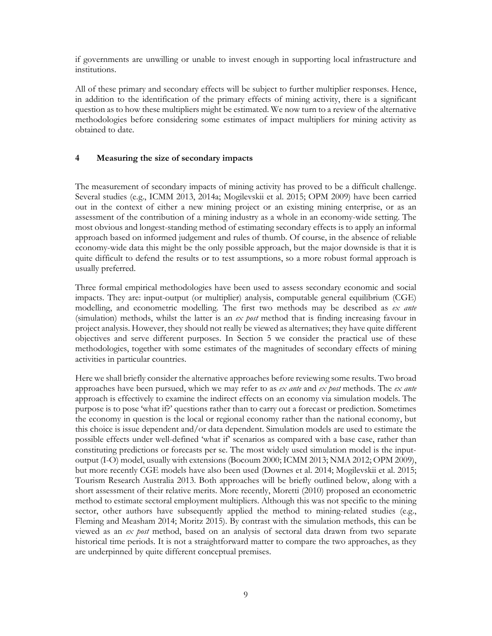if governments are unwilling or unable to invest enough in supporting local infrastructure and institutions.

All of these primary and secondary effects will be subject to further multiplier responses. Hence, in addition to the identification of the primary effects of mining activity, there is a significant question as to how these multipliers might be estimated. We now turn to a review of the alternative methodologies before considering some estimates of impact multipliers for mining activity as obtained to date.

## **4 Measuring the size of secondary impacts**

The measurement of secondary impacts of mining activity has proved to be a difficult challenge. Several studies (e.g., ICMM 2013, 2014a; Mogilevskii et al. 2015; OPM 2009) have been carried out in the context of either a new mining project or an existing mining enterprise, or as an assessment of the contribution of a mining industry as a whole in an economy-wide setting. The most obvious and longest-standing method of estimating secondary effects is to apply an informal approach based on informed judgement and rules of thumb. Of course, in the absence of reliable economy-wide data this might be the only possible approach, but the major downside is that it is quite difficult to defend the results or to test assumptions, so a more robust formal approach is usually preferred.

Three formal empirical methodologies have been used to assess secondary economic and social impacts. They are: input-output (or multiplier) analysis, computable general equilibrium (CGE) modelling, and econometric modelling. The first two methods may be described as *ex ante* (simulation) methods, whilst the latter is an *ex post* method that is finding increasing favour in project analysis. However, they should not really be viewed as alternatives; they have quite different objectives and serve different purposes. In Section 5 we consider the practical use of these methodologies, together with some estimates of the magnitudes of secondary effects of mining activities in particular countries.

Here we shall briefly consider the alternative approaches before reviewing some results. Two broad approaches have been pursued, which we may refer to as *ex ante* and *ex post* methods. The *ex ante* approach is effectively to examine the indirect effects on an economy via simulation models. The purpose is to pose 'what if?' questions rather than to carry out a forecast or prediction. Sometimes the economy in question is the local or regional economy rather than the national economy, but this choice is issue dependent and/or data dependent. Simulation models are used to estimate the possible effects under well-defined 'what if' scenarios as compared with a base case, rather than constituting predictions or forecasts per se. The most widely used simulation model is the inputoutput (I-O) model, usually with extensions (Bocoum 2000; ICMM 2013; NMA 2012; OPM 2009), but more recently CGE models have also been used (Downes et al. 2014; Mogilevskii et al. 2015; Tourism Research Australia 2013. Both approaches will be briefly outlined below, along with a short assessment of their relative merits. More recently, Moretti (2010) proposed an econometric method to estimate sectoral employment multipliers. Although this was not specific to the mining sector, other authors have subsequently applied the method to mining-related studies (e.g., Fleming and Measham 2014; Moritz 2015). By contrast with the simulation methods, this can be viewed as an *ex post* method, based on an analysis of sectoral data drawn from two separate historical time periods. It is not a straightforward matter to compare the two approaches, as they are underpinned by quite different conceptual premises.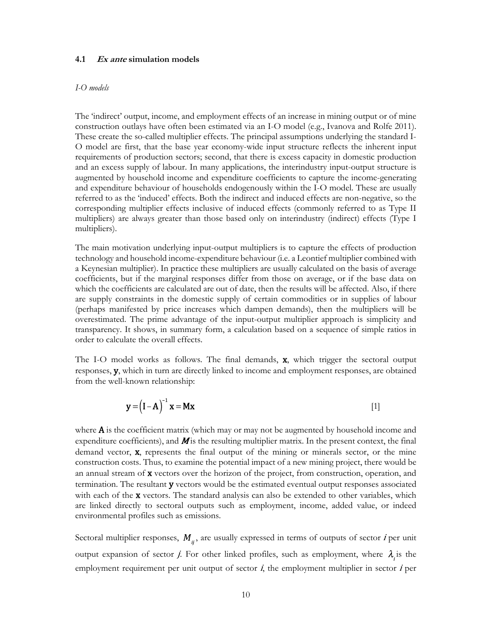#### **4.1 Ex ante simulation models**

#### *I-O models*

The 'indirect' output, income, and employment effects of an increase in mining output or of mine construction outlays have often been estimated via an I-O model (e.g., Ivanova and Rolfe 2011). These create the so-called multiplier effects. The principal assumptions underlying the standard I-O model are first, that the base year economy-wide input structure reflects the inherent input requirements of production sectors; second, that there is excess capacity in domestic production and an excess supply of labour. In many applications, the interindustry input-output structure is augmented by household income and expenditure coefficients to capture the income-generating and expenditure behaviour of households endogenously within the I-O model. These are usually referred to as the 'induced' effects. Both the indirect and induced effects are non-negative, so the corresponding multiplier effects inclusive of induced effects (commonly referred to as Type II multipliers) are always greater than those based only on interindustry (indirect) effects (Type I multipliers).

The main motivation underlying input-output multipliers is to capture the effects of production technology and household income-expenditure behaviour (i.e. a Leontief multiplier combined with a Keynesian multiplier). In practice these multipliers are usually calculated on the basis of average coefficients, but if the marginal responses differ from those on average, or if the base data on which the coefficients are calculated are out of date, then the results will be affected. Also, if there are supply constraints in the domestic supply of certain commodities or in supplies of labour (perhaps manifested by price increases which dampen demands), then the multipliers will be overestimated. The prime advantage of the input-output multiplier approach is simplicity and transparency. It shows, in summary form, a calculation based on a sequence of simple ratios in order to calculate the overall effects.

The I-O model works as follows. The final demands, x, which trigger the sectoral output responses, y, which in turn are directly linked to income and employment responses, are obtained from the well-known relationship:

$$
\mathbf{y} = (\mathbf{I} - \mathbf{A})^{-1} \mathbf{x} = \mathbf{M} \mathbf{x}
$$
 [1]

where  $\bf{A}$  is the coefficient matrix (which may or may not be augmented by household income and expenditure coefficients), and  $M$  is the resulting multiplier matrix. In the present context, the final demand vector, x, represents the final output of the mining or minerals sector, or the mine construction costs. Thus, to examine the potential impact of a new mining project, there would be an annual stream of **x** vectors over the horizon of the project, from construction, operation, and termination. The resultant y vectors would be the estimated eventual output responses associated with each of the **x** vectors. The standard analysis can also be extended to other variables, which are linked directly to sectoral outputs such as employment, income, added value, or indeed environmental profiles such as emissions.

Sectoral multiplier responses,  $M_{ij}$ , are usually expressed in terms of outputs of sector *i* per unit output expansion of sector *j*. For other linked profiles, such as employment, where  $\lambda_i$  is the employment requirement per unit output of sector  $i$ , the employment multiplier in sector  $i$  per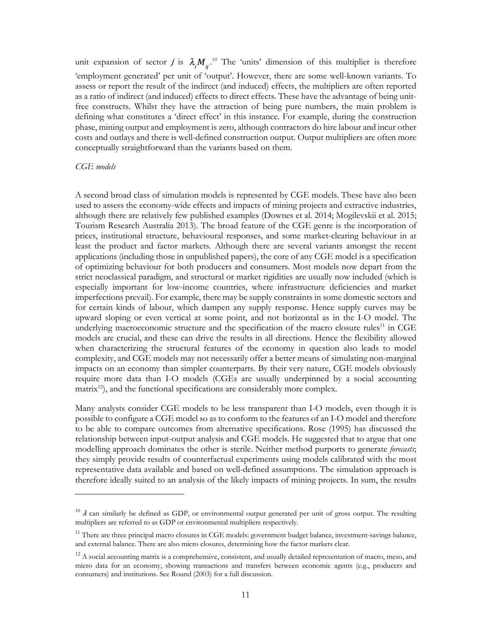unit expansion of sector *j* is  $\lambda_i M_{ii}$ <sup>10</sup> The 'units' dimension of this multiplier is therefore 'employment generated' per unit of 'output'. However, there are some well-known variants. To assess or report the result of the indirect (and induced) effects, the multipliers are often reported as a ratio of indirect (and induced) effects to direct effects. These have the advantage of being unitfree constructs. Whilst they have the attraction of being pure numbers, the main problem is defining what constitutes a 'direct effect' in this instance. For example, during the construction phase, mining output and employment is zero, although contractors do hire labour and incur other costs and outlays and there is well-defined construction output. Output multipliers are often more conceptually straightforward than the variants based on them.

#### *CGE models*

 $\ddot{\phantom{a}}$ 

A second broad class of simulation models is represented by CGE models. These have also been used to assess the economy-wide effects and impacts of mining projects and extractive industries, although there are relatively few published examples (Downes et al. 2014; Mogilevskii et al. 2015; Tourism Research Australia 2013). The broad feature of the CGE genre is the incorporation of prices, institutional structure, behavioural responses, and some market-clearing behaviour in at least the product and factor markets. Although there are several variants amongst the recent applications (including those in unpublished papers), the core of any CGE model is a specification of optimizing behaviour for both producers and consumers. Most models now depart from the strict neoclassical paradigm, and structural or market rigidities are usually now included (which is especially important for low-income countries, where infrastructure deficiencies and market imperfections prevail). For example, there may be supply constraints in some domestic sectors and for certain kinds of labour, which dampen any supply response. Hence supply curves may be upward sloping or even vertical at some point, and not horizontal as in the I-O model. The underlying macroeconomic structure and the specification of the macro closure rules<sup>11</sup> in CGE models are crucial, and these can drive the results in all directions. Hence the flexibility allowed when characterizing the structural features of the economy in question also leads to model complexity, and CGE models may not necessarily offer a better means of simulating non-marginal impacts on an economy than simpler counterparts. By their very nature, CGE models obviously require more data than I-O models (CGEs are usually underpinned by a social accounting matrix<sup>12</sup>), and the functional specifications are considerably more complex.

Many analysts consider CGE models to be less transparent than I-O models, even though it is possible to configure a CGE model so as to conform to the features of an I-O model and therefore to be able to compare outcomes from alternative specifications. Rose (1995) has discussed the relationship between input-output analysis and CGE models. He suggested that to argue that one modelling approach dominates the other is sterile. Neither method purports to generate *forecasts*; they simply provide results of counterfactual experiments using models calibrated with the most representative data available and based on well-defined assumptions. The simulation approach is therefore ideally suited to an analysis of the likely impacts of mining projects. In sum, the results

 $10$   $\lambda$  can similarly be defined as GDP, or environmental output generated per unit of gross output. The resulting multipliers are referred to as GDP or environmental multipliers respectively.

 $11$  There are three principal macro closures in CGE models: government budget balance, investment-savings balance, and external balance. There are also micro closures, determining how the factor markets clear.

 $12$  A social accounting matrix is a comprehensive, consistent, and usually detailed representation of macro, meso, and micro data for an economy, showing transactions and transfers between economic agents (e.g., producers and consumers) and institutions. See Round (2003) for a full discussion.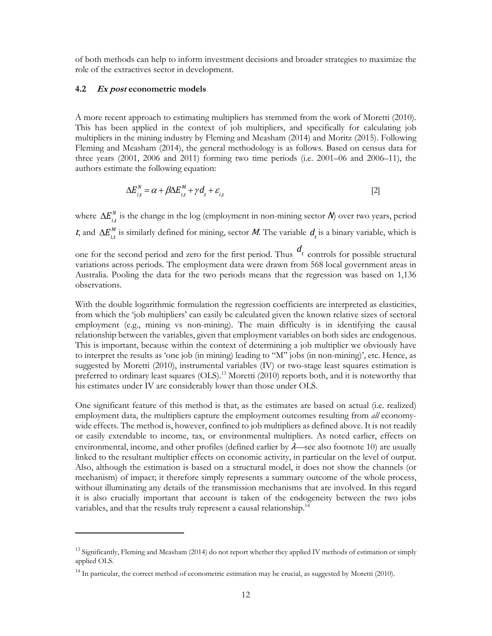of both methods can help to inform investment decisions and broader strategies to maximize the role of the extractives sector in development.

#### **4.2 Ex post econometric models**

 $\overline{a}$ 

A more recent approach to estimating multipliers has stemmed from the work of Moretti (2010). This has been applied in the context of job multipliers, and specifically for calculating job multipliers in the mining industry by Fleming and Measham (2014) and Moritz (2015). Following Fleming and Measham (2014), the general methodology is as follows. Based on census data for three years (2001, 2006 and 2011) forming two time periods (i.e. 2001–06 and 2006–11), the authors estimate the following equation:

$$
\Delta E_{i}^{N} = \alpha + \beta \Delta E_{i,t}^{M} + \gamma d_{t} + \varepsilon_{i,t}
$$
\n<sup>[2]</sup>

where  $\Delta E_{i,t}^N$  is the change in the log (employment in non-mining sector  $N$ ) over two years, period t, and  $\Delta E_{i,t}^M$  is similarly defined for mining, sector M. The variable  $d_t$  is a binary variable, which is

one for the second period and zero for the first period. Thus  $d_t$  controls for possible structural variations across periods. The employment data were drawn from 568 local government areas in Australia. Pooling the data for the two periods means that the regression was based on 1,136 observations.

With the double logarithmic formulation the regression coefficients are interpreted as elasticities, from which the 'job multipliers' can easily be calculated given the known relative sizes of sectoral employment (e.g., mining vs non-mining). The main difficulty is in identifying the causal relationship between the variables, given that employment variables on both sides are endogenous. This is important, because within the context of determining a job multiplier we obviously have to interpret the results as 'one job (in mining) leading to "M" jobs (in non-mining)', etc. Hence, as suggested by Moretti (2010), instrumental variables (IV) or two-stage least squares estimation is preferred to ordinary least squares (OLS).<sup>13</sup> Moretti (2010) reports both, and it is noteworthy that his estimates under IV are considerably lower than those under OLS.

One significant feature of this method is that, as the estimates are based on actual (i.e. realized) employment data, the multipliers capture the employment outcomes resulting from *all* economywide effects. The method is, however, confined to job multipliers as defined above. It is not readily or easily extendable to income, tax, or environmental multipliers. As noted earlier, effects on environmental, income, and other profiles (defined earlier by  $\lambda$ —see also footnote 10) are usually linked to the resultant multiplier effects on economic activity, in particular on the level of output. Also, although the estimation is based on a structural model, it does not show the channels (or mechanism) of impact; it therefore simply represents a summary outcome of the whole process, without illuminating any details of the transmission mechanisms that are involved. In this regard it is also crucially important that account is taken of the endogeneity between the two jobs variables, and that the results truly represent a causal relationship.<sup>14</sup>

<sup>&</sup>lt;sup>13</sup> Significantly, Fleming and Measham (2014) do not report whether they applied IV methods of estimation or simply applied OLS.

<sup>&</sup>lt;sup>14</sup> In particular, the correct method of econometric estimation may be crucial, as suggested by Moretti (2010).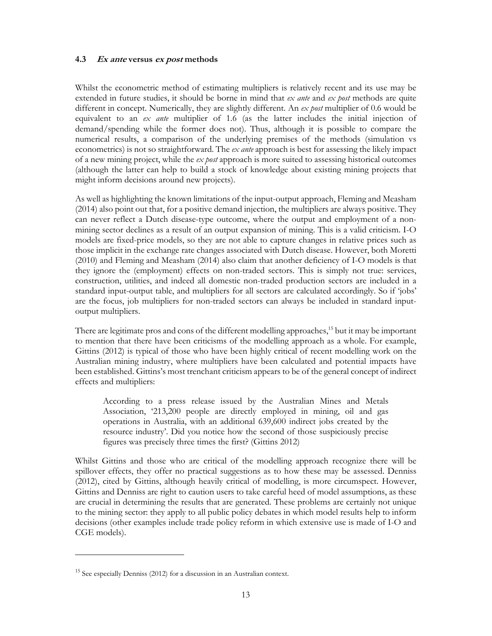## **4.3 Ex ante versus ex post methods**

Whilst the econometric method of estimating multipliers is relatively recent and its use may be extended in future studies, it should be borne in mind that *ex ante* and *ex post* methods are quite different in concept. Numerically, they are slightly different. An *ex post* multiplier of 0.6 would be equivalent to an *ex ante* multiplier of 1.6 (as the latter includes the initial injection of demand/spending while the former does not). Thus, although it is possible to compare the numerical results, a comparison of the underlying premises of the methods (simulation vs econometrics) is not so straightforward. The *ex ante* approach is best for assessing the likely impact of a new mining project, while the *ex post* approach is more suited to assessing historical outcomes (although the latter can help to build a stock of knowledge about existing mining projects that might inform decisions around new projects).

As well as highlighting the known limitations of the input-output approach, Fleming and Measham (2014) also point out that, for a positive demand injection, the multipliers are always positive. They can never reflect a Dutch disease-type outcome, where the output and employment of a nonmining sector declines as a result of an output expansion of mining. This is a valid criticism. I-O models are fixed-price models, so they are not able to capture changes in relative prices such as those implicit in the exchange rate changes associated with Dutch disease. However, both Moretti (2010) and Fleming and Measham (2014) also claim that another deficiency of I-O models is that they ignore the (employment) effects on non-traded sectors. This is simply not true: services, construction, utilities, and indeed all domestic non-traded production sectors are included in a standard input-output table, and multipliers for all sectors are calculated accordingly. So if 'jobs' are the focus, job multipliers for non-traded sectors can always be included in standard inputoutput multipliers.

There are legitimate pros and cons of the different modelling approaches,<sup>15</sup> but it may be important to mention that there have been criticisms of the modelling approach as a whole. For example, Gittins (2012) is typical of those who have been highly critical of recent modelling work on the Australian mining industry, where multipliers have been calculated and potential impacts have been established. Gittins's most trenchant criticism appears to be of the general concept of indirect effects and multipliers:

According to a press release issued by the Australian Mines and Metals Association, '213,200 people are directly employed in mining, oil and gas operations in Australia, with an additional 639,600 indirect jobs created by the resource industry'. Did you notice how the second of those suspiciously precise figures was precisely three times the first? (Gittins 2012)

Whilst Gittins and those who are critical of the modelling approach recognize there will be spillover effects, they offer no practical suggestions as to how these may be assessed. Denniss (2012), cited by Gittins, although heavily critical of modelling, is more circumspect. However, Gittins and Denniss are right to caution users to take careful heed of model assumptions, as these are crucial in determining the results that are generated. These problems are certainly not unique to the mining sector: they apply to all public policy debates in which model results help to inform decisions (other examples include trade policy reform in which extensive use is made of I-O and CGE models).

 $\overline{a}$ 

 $15$  See especially Denniss (2012) for a discussion in an Australian context.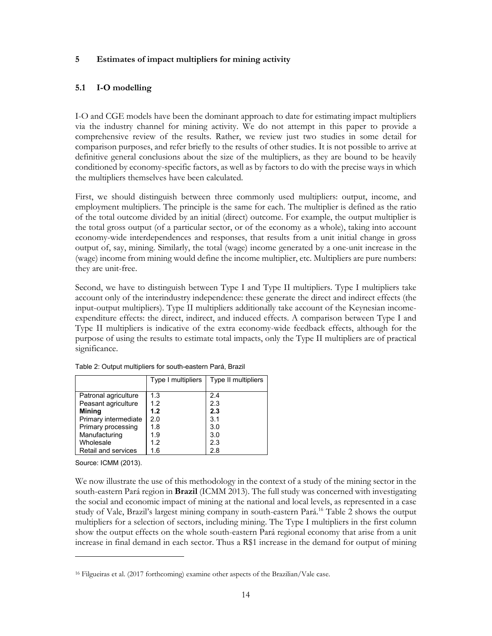## **5 Estimates of impact multipliers for mining activity**

## **5.1 I-O modelling**

I-O and CGE models have been the dominant approach to date for estimating impact multipliers via the industry channel for mining activity. We do not attempt in this paper to provide a comprehensive review of the results. Rather, we review just two studies in some detail for comparison purposes, and refer briefly to the results of other studies. It is not possible to arrive at definitive general conclusions about the size of the multipliers, as they are bound to be heavily conditioned by economy-specific factors, as well as by factors to do with the precise ways in which the multipliers themselves have been calculated.

First, we should distinguish between three commonly used multipliers: output, income, and employment multipliers. The principle is the same for each. The multiplier is defined as the ratio of the total outcome divided by an initial (direct) outcome. For example, the output multiplier is the total gross output (of a particular sector, or of the economy as a whole), taking into account economy-wide interdependences and responses, that results from a unit initial change in gross output of, say, mining. Similarly, the total (wage) income generated by a one-unit increase in the (wage) income from mining would define the income multiplier, etc. Multipliers are pure numbers: they are unit-free.

Second, we have to distinguish between Type I and Type II multipliers. Type I multipliers take account only of the interindustry independence: these generate the direct and indirect effects (the input-output multipliers). Type II multipliers additionally take account of the Keynesian incomeexpenditure effects: the direct, indirect, and induced effects. A comparison between Type I and Type II multipliers is indicative of the extra economy-wide feedback effects, although for the purpose of using the results to estimate total impacts, only the Type II multipliers are of practical significance.

|                      | Type I multipliers | Type II multipliers |
|----------------------|--------------------|---------------------|
| Patronal agriculture | 1.3                | 2.4                 |
| Peasant agriculture  | 1.2                | 2.3                 |
| <b>Mining</b>        | 1.2                | 2.3                 |
| Primary intermediate | 2.0                | 3.1                 |
| Primary processing   | 1.8                | 3.0                 |
| Manufacturing        | 1.9                | 3.0                 |
| Wholesale            | 1.2                | 2.3                 |
| Retail and services  | 1.6                | 2.8                 |

Table 2: Output multipliers for south-eastern Pará, Brazil

Source: ICMM (2013).

 $\overline{a}$ 

We now illustrate the use of this methodology in the context of a study of the mining sector in the south-eastern Pará region in **Brazil** (ICMM 2013). The full study was concerned with investigating the social and economic impact of mining at the national and local levels, as represented in a case study of Vale, Brazil's largest mining company in south-eastern Pará.<sup>16</sup> Table 2 shows the output multipliers for a selection of sectors, including mining. The Type I multipliers in the first column show the output effects on the whole south-eastern Pará regional economy that arise from a unit increase in final demand in each sector. Thus a R\$1 increase in the demand for output of mining

<sup>16</sup> Filgueiras et al. (2017 forthcoming) examine other aspects of the Brazilian/Vale case.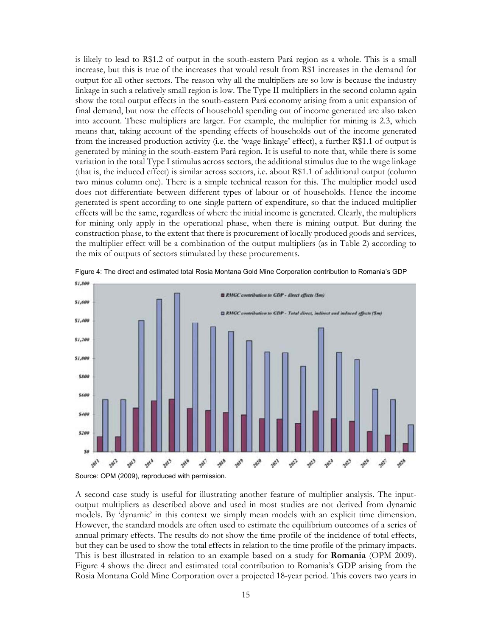is likely to lead to R\$1.2 of output in the south-eastern Pará region as a whole. This is a small increase, but this is true of the increases that would result from R\$1 increases in the demand for output for all other sectors. The reason why all the multipliers are so low is because the industry linkage in such a relatively small region is low. The Type II multipliers in the second column again show the total output effects in the south-eastern Pará economy arising from a unit expansion of final demand, but now the effects of household spending out of income generated are also taken into account. These multipliers are larger. For example, the multiplier for mining is 2.3, which means that, taking account of the spending effects of households out of the income generated from the increased production activity (i.e. the 'wage linkage' effect), a further R\$1.1 of output is generated by mining in the south-eastern Pará region. It is useful to note that, while there is some variation in the total Type I stimulus across sectors, the additional stimulus due to the wage linkage (that is, the induced effect) is similar across sectors, i.e. about R\$1.1 of additional output (column two minus column one). There is a simple technical reason for this. The multiplier model used does not differentiate between different types of labour or of households. Hence the income generated is spent according to one single pattern of expenditure, so that the induced multiplier effects will be the same, regardless of where the initial income is generated. Clearly, the multipliers for mining only apply in the operational phase, when there is mining output. But during the construction phase, to the extent that there is procurement of locally produced goods and services, the multiplier effect will be a combination of the output multipliers (as in Table 2) according to the mix of outputs of sectors stimulated by these procurements.



Figure 4: The direct and estimated total Rosia Montana Gold Mine Corporation contribution to Romania's GDP

A second case study is useful for illustrating another feature of multiplier analysis. The inputoutput multipliers as described above and used in most studies are not derived from dynamic models. By 'dynamic' in this context we simply mean models with an explicit time dimension. However, the standard models are often used to estimate the equilibrium outcomes of a series of annual primary effects. The results do not show the time profile of the incidence of total effects, but they can be used to show the total effects in relation to the time profile of the primary impacts. This is best illustrated in relation to an example based on a study for **Romania** (OPM 2009). Figure 4 shows the direct and estimated total contribution to Romania's GDP arising from the Rosia Montana Gold Mine Corporation over a projected 18-year period. This covers two years in

Source: OPM (2009), reproduced with permission.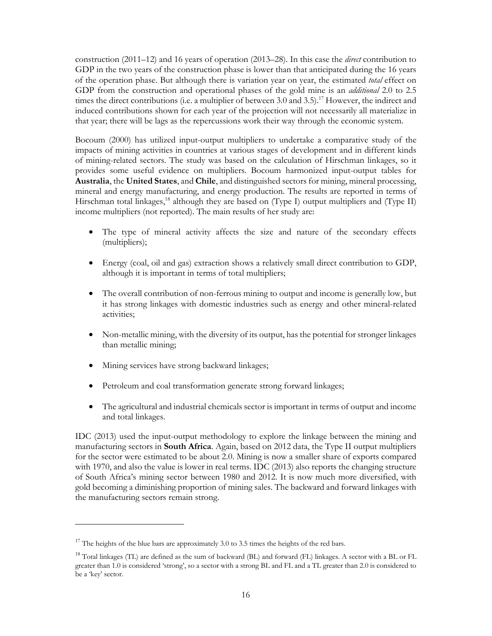construction (2011–12) and 16 years of operation (2013–28). In this case the *direct* contribution to GDP in the two years of the construction phase is lower than that anticipated during the 16 years of the operation phase. But although there is variation year on year, the estimated *total* effect on GDP from the construction and operational phases of the gold mine is an *additional* 2.0 to 2.5 times the direct contributions (i.e. a multiplier of between 3.0 and 3.5).<sup>17</sup> However, the indirect and induced contributions shown for each year of the projection will not necessarily all materialize in that year; there will be lags as the repercussions work their way through the economic system.

Bocoum (2000) has utilized input-output multipliers to undertake a comparative study of the impacts of mining activities in countries at various stages of development and in different kinds of mining-related sectors. The study was based on the calculation of Hirschman linkages, so it provides some useful evidence on multipliers. Bocoum harmonized input-output tables for **Australia**, the **United States**, and **Chile**, and distinguished sectors for mining, mineral processing, mineral and energy manufacturing, and energy production. The results are reported in terms of Hirschman total linkages,<sup>18</sup> although they are based on (Type I) output multipliers and (Type II) income multipliers (not reported). The main results of her study are:

- The type of mineral activity affects the size and nature of the secondary effects (multipliers);
- Energy (coal, oil and gas) extraction shows a relatively small direct contribution to GDP, although it is important in terms of total multipliers;
- The overall contribution of non-ferrous mining to output and income is generally low, but it has strong linkages with domestic industries such as energy and other mineral-related activities;
- Non-metallic mining, with the diversity of its output, has the potential for stronger linkages than metallic mining;
- Mining services have strong backward linkages;

 $\ddot{\phantom{a}}$ 

- Petroleum and coal transformation generate strong forward linkages;
- The agricultural and industrial chemicals sector is important in terms of output and income and total linkages.

IDC (2013) used the input-output methodology to explore the linkage between the mining and manufacturing sectors in **South Africa**. Again, based on 2012 data, the Type II output multipliers for the sector were estimated to be about 2.0. Mining is now a smaller share of exports compared with 1970, and also the value is lower in real terms. IDC (2013) also reports the changing structure of South Africa's mining sector between 1980 and 2012. It is now much more diversified, with gold becoming a diminishing proportion of mining sales. The backward and forward linkages with the manufacturing sectors remain strong.

 $17$  The heights of the blue bars are approximately 3.0 to 3.5 times the heights of the red bars.

<sup>&</sup>lt;sup>18</sup> Total linkages (TL) are defined as the sum of backward (BL) and forward (FL) linkages. A sector with a BL or FL greater than 1.0 is considered 'strong', so a sector with a strong BL and FL and a TL greater than 2.0 is considered to be a 'key' sector.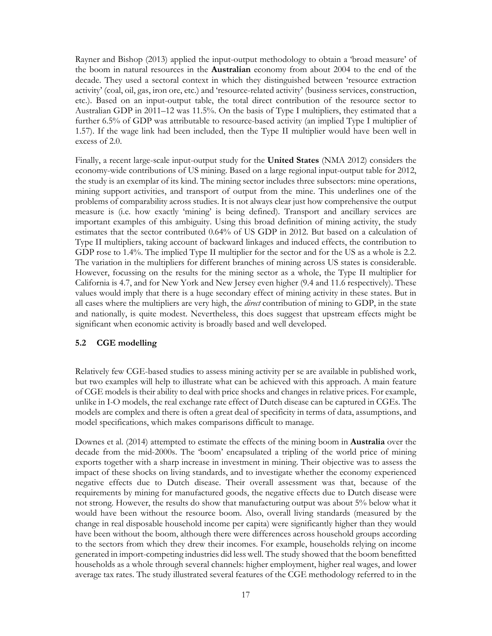Rayner and Bishop (2013) applied the input-output methodology to obtain a 'broad measure' of the boom in natural resources in the **Australian** economy from about 2004 to the end of the decade. They used a sectoral context in which they distinguished between 'resource extraction activity' (coal, oil, gas, iron ore, etc.) and 'resource-related activity' (business services, construction, etc.). Based on an input-output table, the total direct contribution of the resource sector to Australian GDP in 2011–12 was 11.5%. On the basis of Type I multipliers, they estimated that a further 6.5% of GDP was attributable to resource-based activity (an implied Type I multiplier of 1.57). If the wage link had been included, then the Type II multiplier would have been well in excess of 2.0.

Finally, a recent large-scale input-output study for the **United States** (NMA 2012) considers the economy-wide contributions of US mining. Based on a large regional input-output table for 2012, the study is an exemplar of its kind. The mining sector includes three subsectors: mine operations, mining support activities, and transport of output from the mine. This underlines one of the problems of comparability across studies. It is not always clear just how comprehensive the output measure is (i.e. how exactly 'mining' is being defined). Transport and ancillary services are important examples of this ambiguity. Using this broad definition of mining activity, the study estimates that the sector contributed 0.64% of US GDP in 2012. But based on a calculation of Type II multipliers, taking account of backward linkages and induced effects, the contribution to GDP rose to 1.4%. The implied Type II multiplier for the sector and for the US as a whole is 2.2. The variation in the multipliers for different branches of mining across US states is considerable. However, focussing on the results for the mining sector as a whole, the Type II multiplier for California is 4.7, and for New York and New Jersey even higher (9.4 and 11.6 respectively). These values would imply that there is a huge secondary effect of mining activity in these states. But in all cases where the multipliers are very high, the *direct* contribution of mining to GDP, in the state and nationally, is quite modest. Nevertheless, this does suggest that upstream effects might be significant when economic activity is broadly based and well developed.

## **5.2 CGE modelling**

Relatively few CGE-based studies to assess mining activity per se are available in published work, but two examples will help to illustrate what can be achieved with this approach. A main feature of CGE models is their ability to deal with price shocks and changes in relative prices. For example, unlike in I-O models, the real exchange rate effect of Dutch disease can be captured in CGEs. The models are complex and there is often a great deal of specificity in terms of data, assumptions, and model specifications, which makes comparisons difficult to manage.

Downes et al. (2014) attempted to estimate the effects of the mining boom in **Australia** over the decade from the mid-2000s. The 'boom' encapsulated a tripling of the world price of mining exports together with a sharp increase in investment in mining. Their objective was to assess the impact of these shocks on living standards, and to investigate whether the economy experienced negative effects due to Dutch disease. Their overall assessment was that, because of the requirements by mining for manufactured goods, the negative effects due to Dutch disease were not strong. However, the results do show that manufacturing output was about 5% below what it would have been without the resource boom. Also, overall living standards (measured by the change in real disposable household income per capita) were significantly higher than they would have been without the boom, although there were differences across household groups according to the sectors from which they drew their incomes. For example, households relying on income generated in import-competing industries did less well. The study showed that the boom benefitted households as a whole through several channels: higher employment, higher real wages, and lower average tax rates. The study illustrated several features of the CGE methodology referred to in the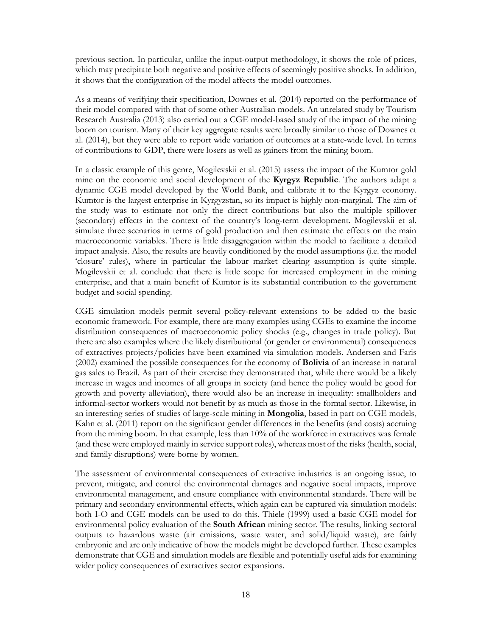previous section. In particular, unlike the input-output methodology, it shows the role of prices, which may precipitate both negative and positive effects of seemingly positive shocks. In addition, it shows that the configuration of the model affects the model outcomes.

As a means of verifying their specification, Downes et al. (2014) reported on the performance of their model compared with that of some other Australian models. An unrelated study by Tourism Research Australia (2013) also carried out a CGE model-based study of the impact of the mining boom on tourism. Many of their key aggregate results were broadly similar to those of Downes et al. (2014), but they were able to report wide variation of outcomes at a state-wide level. In terms of contributions to GDP, there were losers as well as gainers from the mining boom.

In a classic example of this genre, Mogilevskii et al. (2015) assess the impact of the Kumtor gold mine on the economic and social development of the **Kyrgyz Republic**. The authors adapt a dynamic CGE model developed by the World Bank, and calibrate it to the Kyrgyz economy. Kumtor is the largest enterprise in Kyrgyzstan, so its impact is highly non-marginal. The aim of the study was to estimate not only the direct contributions but also the multiple spillover (secondary) effects in the context of the country's long-term development. Mogilevskii et al. simulate three scenarios in terms of gold production and then estimate the effects on the main macroeconomic variables. There is little disaggregation within the model to facilitate a detailed impact analysis. Also, the results are heavily conditioned by the model assumptions (i.e. the model 'closure' rules), where in particular the labour market clearing assumption is quite simple. Mogilevskii et al. conclude that there is little scope for increased employment in the mining enterprise, and that a main benefit of Kumtor is its substantial contribution to the government budget and social spending.

CGE simulation models permit several policy-relevant extensions to be added to the basic economic framework. For example, there are many examples using CGEs to examine the income distribution consequences of macroeconomic policy shocks (e.g., changes in trade policy). But there are also examples where the likely distributional (or gender or environmental) consequences of extractives projects/policies have been examined via simulation models. Andersen and Faris (2002) examined the possible consequences for the economy of **Bolivia** of an increase in natural gas sales to Brazil. As part of their exercise they demonstrated that, while there would be a likely increase in wages and incomes of all groups in society (and hence the policy would be good for growth and poverty alleviation), there would also be an increase in inequality: smallholders and informal-sector workers would not benefit by as much as those in the formal sector. Likewise, in an interesting series of studies of large-scale mining in **Mongolia**, based in part on CGE models, Kahn et al. (2011) report on the significant gender differences in the benefits (and costs) accruing from the mining boom. In that example, less than 10% of the workforce in extractives was female (and these were employed mainly in service support roles), whereas most of the risks (health, social, and family disruptions) were borne by women.

The assessment of environmental consequences of extractive industries is an ongoing issue, to prevent, mitigate, and control the environmental damages and negative social impacts, improve environmental management, and ensure compliance with environmental standards. There will be primary and secondary environmental effects, which again can be captured via simulation models: both I-O and CGE models can be used to do this. Thiele (1999) used a basic CGE model for environmental policy evaluation of the **South African** mining sector. The results, linking sectoral outputs to hazardous waste (air emissions, waste water, and solid/liquid waste), are fairly embryonic and are only indicative of how the models might be developed further. These examples demonstrate that CGE and simulation models are flexible and potentially useful aids for examining wider policy consequences of extractives sector expansions.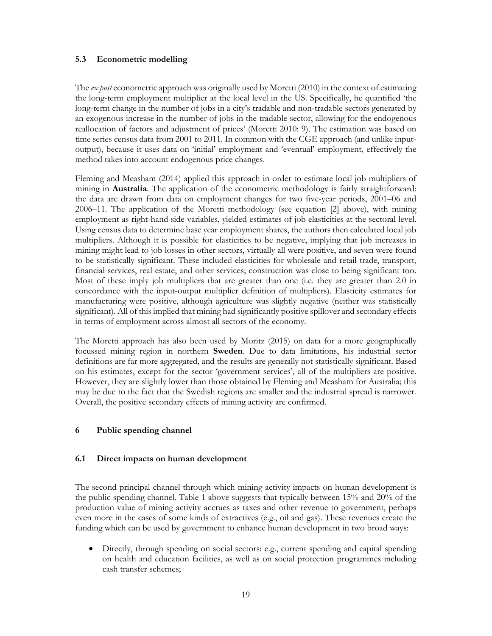## **5.3 Econometric modelling**

The *ex post* econometric approach was originally used by Moretti (2010) in the context of estimating the long-term employment multiplier at the local level in the US. Specifically, he quantified 'the long-term change in the number of jobs in a city's tradable and non-tradable sectors generated by an exogenous increase in the number of jobs in the tradable sector, allowing for the endogenous reallocation of factors and adjustment of prices' (Moretti 2010: 9). The estimation was based on time series census data from 2001 to 2011. In common with the CGE approach (and unlike inputoutput), because it uses data on 'initial' employment and 'eventual' employment, effectively the method takes into account endogenous price changes.

Fleming and Measham (2014) applied this approach in order to estimate local job multipliers of mining in **Australia**. The application of the econometric methodology is fairly straightforward: the data are drawn from data on employment changes for two five-year periods, 2001–06 and 2006–11. The application of the Moretti methodology (see equation [2] above), with mining employment as right-hand side variables, yielded estimates of job elasticities at the sectoral level. Using census data to determine base year employment shares, the authors then calculated local job multipliers. Although it is possible for elasticities to be negative, implying that job increases in mining might lead to job losses in other sectors, virtually all were positive, and seven were found to be statistically significant. These included elasticities for wholesale and retail trade, transport, financial services, real estate, and other services; construction was close to being significant too. Most of these imply job multipliers that are greater than one (i.e. they are greater than 2.0 in concordance with the input-output multiplier definition of multipliers). Elasticity estimates for manufacturing were positive, although agriculture was slightly negative (neither was statistically significant). All of this implied that mining had significantly positive spillover and secondary effects in terms of employment across almost all sectors of the economy.

The Moretti approach has also been used by Moritz (2015) on data for a more geographically focussed mining region in northern **Sweden**. Due to data limitations, his industrial sector definitions are far more aggregated, and the results are generally not statistically significant. Based on his estimates, except for the sector 'government services', all of the multipliers are positive. However, they are slightly lower than those obtained by Fleming and Measham for Australia; this may be due to the fact that the Swedish regions are smaller and the industrial spread is narrower. Overall, the positive secondary effects of mining activity are confirmed.

## **6 Public spending channel**

## **6.1 Direct impacts on human development**

The second principal channel through which mining activity impacts on human development is the public spending channel. Table 1 above suggests that typically between 15% and 20% of the production value of mining activity accrues as taxes and other revenue to government, perhaps even more in the cases of some kinds of extractives (e.g., oil and gas). These revenues create the funding which can be used by government to enhance human development in two broad ways:

 Directly, through spending on social sectors: e.g., current spending and capital spending on health and education facilities, as well as on social protection programmes including cash transfer schemes;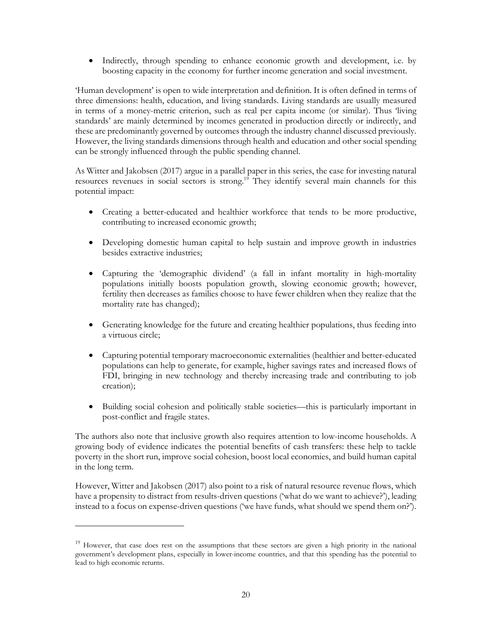• Indirectly, through spending to enhance economic growth and development, i.e. by boosting capacity in the economy for further income generation and social investment.

'Human development' is open to wide interpretation and definition. It is often defined in terms of three dimensions: health, education, and living standards. Living standards are usually measured in terms of a money-metric criterion, such as real per capita income (or similar). Thus 'living standards' are mainly determined by incomes generated in production directly or indirectly, and these are predominantly governed by outcomes through the industry channel discussed previously. However, the living standards dimensions through health and education and other social spending can be strongly influenced through the public spending channel.

As Witter and Jakobsen (2017) argue in a parallel paper in this series, the case for investing natural resources revenues in social sectors is strong.<sup>19</sup> They identify several main channels for this potential impact:

- Creating a better-educated and healthier workforce that tends to be more productive, contributing to increased economic growth;
- Developing domestic human capital to help sustain and improve growth in industries besides extractive industries;
- Capturing the 'demographic dividend' (a fall in infant mortality in high-mortality populations initially boosts population growth, slowing economic growth; however, fertility then decreases as families choose to have fewer children when they realize that the mortality rate has changed);
- Generating knowledge for the future and creating healthier populations, thus feeding into a virtuous circle;
- Capturing potential temporary macroeconomic externalities (healthier and better-educated populations can help to generate, for example, higher savings rates and increased flows of FDI, bringing in new technology and thereby increasing trade and contributing to job creation);
- Building social cohesion and politically stable societies—this is particularly important in post-conflict and fragile states.

The authors also note that inclusive growth also requires attention to low-income households. A growing body of evidence indicates the potential benefits of cash transfers: these help to tackle poverty in the short run, improve social cohesion, boost local economies, and build human capital in the long term.

However, Witter and Jakobsen (2017) also point to a risk of natural resource revenue flows, which have a propensity to distract from results-driven questions ('what do we want to achieve?'), leading instead to a focus on expense-driven questions ('we have funds, what should we spend them on?').

 $\ddot{\phantom{a}}$ 

<sup>&</sup>lt;sup>19</sup> However, that case does rest on the assumptions that these sectors are given a high priority in the national government's development plans, especially in lower-income countries, and that this spending has the potential to lead to high economic returns.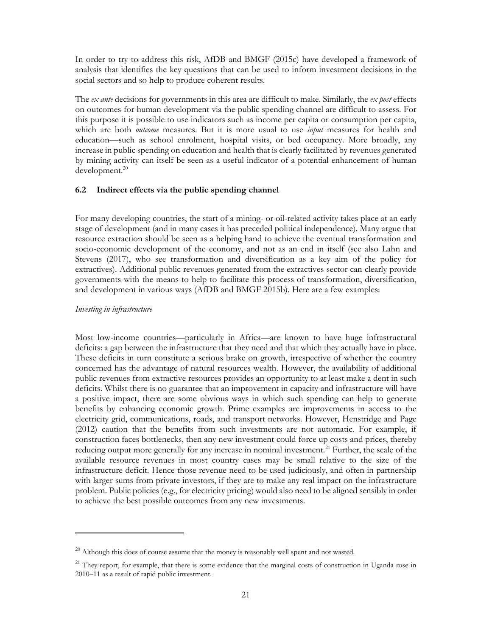In order to try to address this risk, AfDB and BMGF (2015c) have developed a framework of analysis that identifies the key questions that can be used to inform investment decisions in the social sectors and so help to produce coherent results.

The *ex ante* decisions for governments in this area are difficult to make. Similarly, the *ex post* effects on outcomes for human development via the public spending channel are difficult to assess. For this purpose it is possible to use indicators such as income per capita or consumption per capita, which are both *outcome* measures. But it is more usual to use *input* measures for health and education—such as school enrolment, hospital visits, or bed occupancy. More broadly, any increase in public spending on education and health that is clearly facilitated by revenues generated by mining activity can itself be seen as a useful indicator of a potential enhancement of human development.<sup>20</sup>

### **6.2 Indirect effects via the public spending channel**

For many developing countries, the start of a mining- or oil-related activity takes place at an early stage of development (and in many cases it has preceded political independence). Many argue that resource extraction should be seen as a helping hand to achieve the eventual transformation and socio-economic development of the economy, and not as an end in itself (see also Lahn and Stevens (2017), who see transformation and diversification as a key aim of the policy for extractives). Additional public revenues generated from the extractives sector can clearly provide governments with the means to help to facilitate this process of transformation, diversification, and development in various ways (AfDB and BMGF 2015b). Here are a few examples:

#### *Investing in infrastructure*

 $\overline{a}$ 

Most low-income countries—particularly in Africa—are known to have huge infrastructural deficits: a gap between the infrastructure that they need and that which they actually have in place. These deficits in turn constitute a serious brake on growth, irrespective of whether the country concerned has the advantage of natural resources wealth. However, the availability of additional public revenues from extractive resources provides an opportunity to at least make a dent in such deficits. Whilst there is no guarantee that an improvement in capacity and infrastructure will have a positive impact, there are some obvious ways in which such spending can help to generate benefits by enhancing economic growth. Prime examples are improvements in access to the electricity grid, communications, roads, and transport networks. However, Henstridge and Page (2012) caution that the benefits from such investments are not automatic. For example, if construction faces bottlenecks, then any new investment could force up costs and prices, thereby reducing output more generally for any increase in nominal investment.<sup>21</sup> Further, the scale of the available resource revenues in most country cases may be small relative to the size of the infrastructure deficit. Hence those revenue need to be used judiciously, and often in partnership with larger sums from private investors, if they are to make any real impact on the infrastructure problem. Public policies (e.g., for electricity pricing) would also need to be aligned sensibly in order to achieve the best possible outcomes from any new investments.

<sup>&</sup>lt;sup>20</sup> Although this does of course assume that the money is reasonably well spent and not wasted.

 $21$  They report, for example, that there is some evidence that the marginal costs of construction in Uganda rose in 2010–11 as a result of rapid public investment.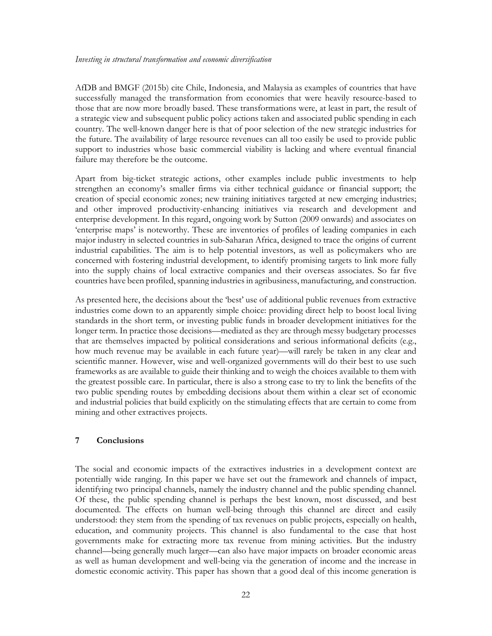#### *Investing in structural transformation and economic diversification*

AfDB and BMGF (2015b) cite Chile, Indonesia, and Malaysia as examples of countries that have successfully managed the transformation from economies that were heavily resource-based to those that are now more broadly based. These transformations were, at least in part, the result of a strategic view and subsequent public policy actions taken and associated public spending in each country. The well-known danger here is that of poor selection of the new strategic industries for the future. The availability of large resource revenues can all too easily be used to provide public support to industries whose basic commercial viability is lacking and where eventual financial failure may therefore be the outcome.

Apart from big-ticket strategic actions, other examples include public investments to help strengthen an economy's smaller firms via either technical guidance or financial support; the creation of special economic zones; new training initiatives targeted at new emerging industries; and other improved productivity-enhancing initiatives via research and development and enterprise development. In this regard, ongoing work by Sutton (2009 onwards) and associates on 'enterprise maps' is noteworthy. These are inventories of profiles of leading companies in each major industry in selected countries in sub-Saharan Africa, designed to trace the origins of current industrial capabilities. The aim is to help potential investors, as well as policymakers who are concerned with fostering industrial development, to identify promising targets to link more fully into the supply chains of local extractive companies and their overseas associates. So far five countries have been profiled, spanning industries in agribusiness, manufacturing, and construction.

As presented here, the decisions about the 'best' use of additional public revenues from extractive industries come down to an apparently simple choice: providing direct help to boost local living standards in the short term, or investing public funds in broader development initiatives for the longer term. In practice those decisions—mediated as they are through messy budgetary processes that are themselves impacted by political considerations and serious informational deficits (e.g., how much revenue may be available in each future year)—will rarely be taken in any clear and scientific manner. However, wise and well-organized governments will do their best to use such frameworks as are available to guide their thinking and to weigh the choices available to them with the greatest possible care. In particular, there is also a strong case to try to link the benefits of the two public spending routes by embedding decisions about them within a clear set of economic and industrial policies that build explicitly on the stimulating effects that are certain to come from mining and other extractives projects.

#### **7 Conclusions**

The social and economic impacts of the extractives industries in a development context are potentially wide ranging. In this paper we have set out the framework and channels of impact, identifying two principal channels, namely the industry channel and the public spending channel. Of these, the public spending channel is perhaps the best known, most discussed, and best documented. The effects on human well-being through this channel are direct and easily understood: they stem from the spending of tax revenues on public projects, especially on health, education, and community projects. This channel is also fundamental to the case that host governments make for extracting more tax revenue from mining activities. But the industry channel—being generally much larger—can also have major impacts on broader economic areas as well as human development and well-being via the generation of income and the increase in domestic economic activity. This paper has shown that a good deal of this income generation is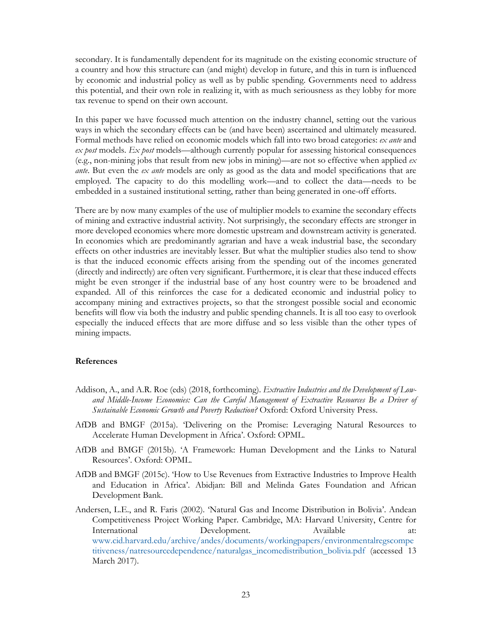secondary. It is fundamentally dependent for its magnitude on the existing economic structure of a country and how this structure can (and might) develop in future, and this in turn is influenced by economic and industrial policy as well as by public spending. Governments need to address this potential, and their own role in realizing it, with as much seriousness as they lobby for more tax revenue to spend on their own account.

In this paper we have focussed much attention on the industry channel, setting out the various ways in which the secondary effects can be (and have been) ascertained and ultimately measured. Formal methods have relied on economic models which fall into two broad categories: *ex ante* and *ex post* models. *Ex post* models—although currently popular for assessing historical consequences (e.g., non-mining jobs that result from new jobs in mining)—are not so effective when applied *ex ante*. But even the *ex ante* models are only as good as the data and model specifications that are employed. The capacity to do this modelling work—and to collect the data—needs to be embedded in a sustained institutional setting, rather than being generated in one-off efforts.

There are by now many examples of the use of multiplier models to examine the secondary effects of mining and extractive industrial activity. Not surprisingly, the secondary effects are stronger in more developed economies where more domestic upstream and downstream activity is generated. In economies which are predominantly agrarian and have a weak industrial base, the secondary effects on other industries are inevitably lesser. But what the multiplier studies also tend to show is that the induced economic effects arising from the spending out of the incomes generated (directly and indirectly) are often very significant. Furthermore, it is clear that these induced effects might be even stronger if the industrial base of any host country were to be broadened and expanded. All of this reinforces the case for a dedicated economic and industrial policy to accompany mining and extractives projects, so that the strongest possible social and economic benefits will flow via both the industry and public spending channels. It is all too easy to overlook especially the induced effects that are more diffuse and so less visible than the other types of mining impacts.

#### **References**

- Addison, A., and A.R. Roe (eds) (2018, forthcoming). *Extractive Industries and the Development of Lowand Middle-Income Economies: Can the Careful Management of Extractive Resources Be a Driver of Sustainable Economic Growth and Poverty Reduction?* Oxford: Oxford University Press.
- AfDB and BMGF (2015a). 'Delivering on the Promise: Leveraging Natural Resources to Accelerate Human Development in Africa'. Oxford: OPML.
- AfDB and BMGF (2015b). 'A Framework: Human Development and the Links to Natural Resources'. Oxford: OPML.
- AfDB and BMGF (2015c). 'How to Use Revenues from Extractive Industries to Improve Health and Education in Africa'. Abidjan: Bill and Melinda Gates Foundation and African Development Bank.
- Andersen, L.E., and R. Faris (2002). 'Natural Gas and Income Distribution in Bolivia'. Andean Competitiveness Project Working Paper. Cambridge, MA: Harvard University, Centre for International Development. Available at: www.cid.harvard.edu/archive/andes/documents/workingpapers/environmentalregscompe titiveness/natresourcedependence/naturalgas\_incomedistribution\_bolivia.pdf (accessed 13 March 2017).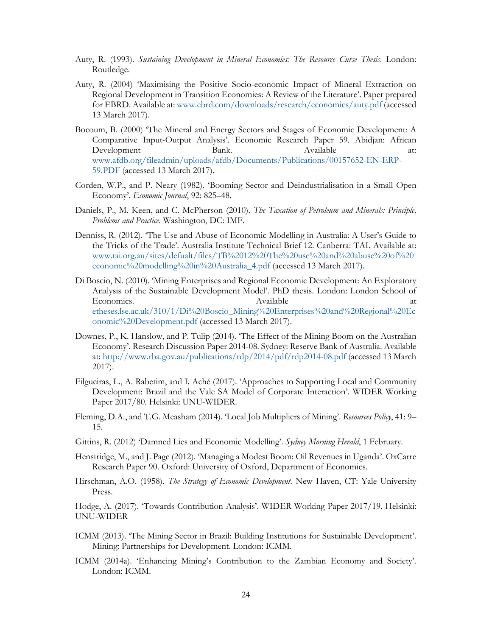- Auty, R. (1993). *Sustaining Development in Mineral Economies: The Resource Curse Thesis*. London: Routledge.
- Auty, R. (2004) 'Maximising the Positive Socio-economic Impact of Mineral Extraction on Regional Development in Transition Economies: A Review of the Literature'. Paper prepared for EBRD. Available at: www.ebrd.com/downloads/research/economics/auty.pdf (accessed 13 March 2017).
- Bocoum, B. (2000) 'The Mineral and Energy Sectors and Stages of Economic Development: A Comparative Input-Output Analysis'. Economic Research Paper 59. Abidjan: African Development Bank. Available at: www.afdb.org/fileadmin/uploads/afdb/Documents/Publications/00157652-EN-ERP-59.PDF (accessed 13 March 2017).
- Corden, W.P., and P. Neary (1982). 'Booming Sector and Deindustrialisation in a Small Open Economy'. *Economic Journal*, 92: 825–48.
- Daniels, P., M. Keen, and C. McPherson (2010). *The Taxation of Petroleum and Minerals: Principle, Problems and Practice*. Washington, DC: IMF.
- Denniss, R. (2012). 'The Use and Abuse of Economic Modelling in Australia: A User's Guide to the Tricks of the Trade'. Australia Institute Technical Brief 12. Canberra: TAI. Available at: www.tai.org.au/sites/defualt/files/TB%2012%20The%20use%20and%20abuse%20of%20 economic%20modelling%20in%20Australia\_4.pdf (accessed 13 March 2017).
- Di Boscio, N. (2010). 'Mining Enterprises and Regional Economic Development: An Exploratory Analysis of the Sustainable Development Model'. PhD thesis. London: London School of Economics. Available at Available at  $\alpha$ etheses.lse.ac.uk/310/1/Di%20Boscio\_Mining%20Enterprises%20and%20Regional%20Ec onomic%20Development.pdf (accessed 13 March 2017).
- Downes, P., K. Hanslow, and P. Tulip (2014). 'The Effect of the Mining Boom on the Australian Economy'. Research Discussion Paper 2014-08. Sydney: Reserve Bank of Australia. Available at: http://www.rba.gov.au/publications/rdp/2014/pdf/rdp2014-08.pdf (accessed 13 March 2017).
- Filgueiras, L., A. Rabetim, and I. Aché (2017). 'Approaches to Supporting Local and Community Development: Brazil and the Vale SA Model of Corporate Interaction'. WIDER Working Paper 2017/80. Helsinki: UNU-WIDER.
- Fleming, D.A., and T.G. Measham (2014). 'Local Job Multipliers of Mining'. *Resources Policy*, 41: 9– 15.
- Gittins, R. (2012) 'Damned Lies and Economic Modelling'. *Sydney Morning Herald*, 1 February.
- Henstridge, M., and J. Page (2012). 'Managing a Modest Boom: Oil Revenues in Uganda'. OxCarre Research Paper 90. Oxford: University of Oxford, Department of Economics.
- Hirschman, A.O. (1958). *The Strategy of Economic Development*. New Haven, CT: Yale University Press.

Hodge, A. (2017). 'Towards Contribution Analysis'. WIDER Working Paper 2017/19. Helsinki: UNU-WIDER

- ICMM (2013). 'The Mining Sector in Brazil: Building Institutions for Sustainable Development'. Mining: Partnerships for Development. London: ICMM.
- ICMM (2014a). 'Enhancing Mining's Contribution to the Zambian Economy and Society'. London: ICMM.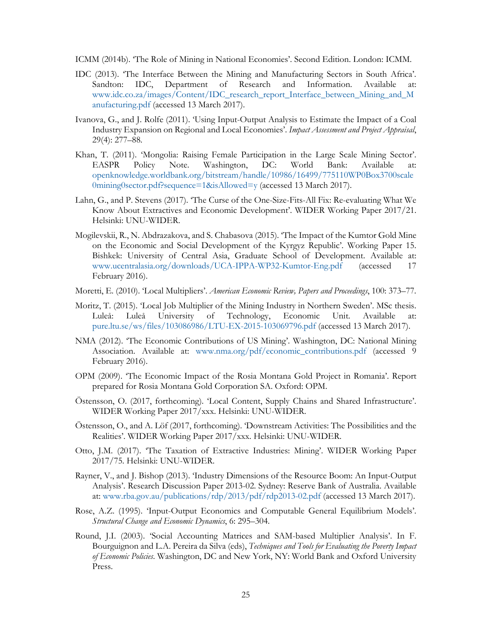- ICMM (2014b). 'The Role of Mining in National Economies'. Second Edition. London: ICMM.
- IDC (2013). 'The Interface Between the Mining and Manufacturing Sectors in South Africa'. Sandton: IDC, Department of Research and Information. Available at: www.idc.co.za/images/Content/IDC\_research\_report\_Interface\_between\_Mining\_and\_M anufacturing.pdf (accessed 13 March 2017).
- Ivanova, G., and J. Rolfe (2011). 'Using Input-Output Analysis to Estimate the Impact of a Coal Industry Expansion on Regional and Local Economies'. *Impact Assessment and Project Appraisal*, 29(4): 277–88.
- Khan, T. (2011). 'Mongolia: Raising Female Participation in the Large Scale Mining Sector'. EASPR Policy Note. Washington, DC: World Bank: Available at: openknowledge.worldbank.org/bitstream/handle/10986/16499/775110WP0Box3700scale 0mining0sector.pdf?sequence=1&isAllowed=y (accessed 13 March 2017).
- Lahn, G., and P. Stevens (2017). 'The Curse of the One-Size-Fits-All Fix: Re-evaluating What We Know About Extractives and Economic Development'. WIDER Working Paper 2017/21. Helsinki: UNU-WIDER.
- Mogilevskii, R., N. Abdrazakova, and S. Chabasova (2015). 'The Impact of the Kumtor Gold Mine on the Economic and Social Development of the Kyrgyz Republic'. Working Paper 15. Bishkek: University of Central Asia, Graduate School of Development. Available at: www.ucentralasia.org/downloads/UCA-IPPA-WP32-Kumtor-Eng.pdf (accessed 17 February 2016).
- Moretti, E. (2010). 'Local Multipliers'. *American Economic Review, Papers and Proceedings*, 100: 373–77.
- Moritz, T. (2015). 'Local Job Multiplier of the Mining Industry in Northern Sweden'. MSc thesis. Luleå: Luleå University of Technology, Economic Unit. Available at: pure.ltu.se/ws/files/103086986/LTU-EX-2015-103069796.pdf (accessed 13 March 2017).
- NMA (2012). 'The Economic Contributions of US Mining'. Washington, DC: National Mining Association. Available at: www.nma.org/pdf/economic\_contributions.pdf (accessed 9 February 2016).
- OPM (2009). 'The Economic Impact of the Rosia Montana Gold Project in Romania'. Report prepared for Rosia Montana Gold Corporation SA. Oxford: OPM.
- Östensson, O. (2017, forthcoming). 'Local Content, Supply Chains and Shared Infrastructure'. WIDER Working Paper 2017/xxx. Helsinki: UNU-WIDER.
- Östensson, O., and A. Löf (2017, forthcoming). 'Downstream Activities: The Possibilities and the Realities'. WIDER Working Paper 2017/xxx. Helsinki: UNU-WIDER.
- Otto, J.M. (2017). 'The Taxation of Extractive Industries: Mining'. WIDER Working Paper 2017/75. Helsinki: UNU-WIDER.
- Rayner, V., and J. Bishop (2013). 'Industry Dimensions of the Resource Boom: An Input-Output Analysis'. Research Discussion Paper 2013-02. Sydney: Reserve Bank of Australia. Available at: www.rba.gov.au/publications/rdp/2013/pdf/rdp2013-02.pdf (accessed 13 March 2017).
- Rose, A.Z. (1995). 'Input-Output Economics and Computable General Equilibrium Models'. *Structural Change and Economic Dynamics*, 6: 295–304.
- Round, J.I. (2003). 'Social Accounting Matrices and SAM-based Multiplier Analysis'. In F. Bourguignon and L.A. Pereira da Silva (eds), *Techniques and Tools for Evaluating the Poverty Impact of Economic Policies*. Washington, DC and New York, NY: World Bank and Oxford University Press.